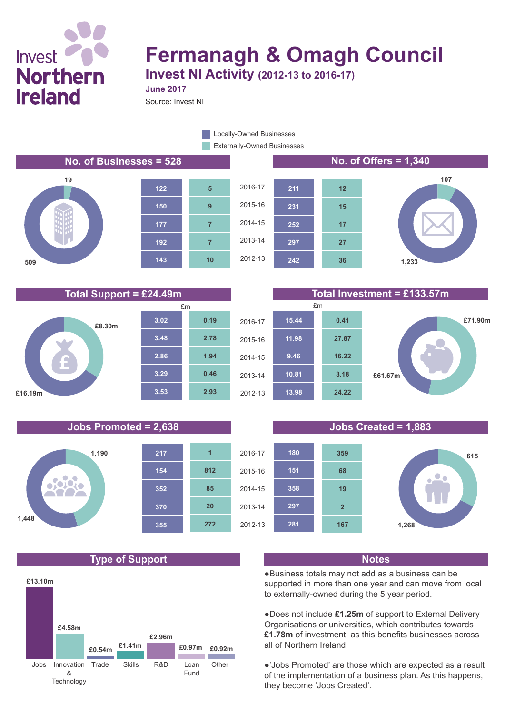# Invest **Northern Ireland**

# **Fermanagh & Omagh Council**

**Invest NI Activity (2012-13 to 2016-17) June 2017**

Source: Invest NI

Externally-Owned Businesses **Locally-Owned Businesses** 

**No. of Businesses = 528 No. of Offers = 1,340**











### **Total Support = £24.49m Total Investment = £133.57m**

**36**

**27**

**17**

**15**

**12**



### **Jobs Promoted = 2,638 Jobs Created = 1,883**



### **Type of Support Notes**





●Business totals may not add as a business can be supported in more than one year and can move from local to externally-owned during the 5 year period.

●Does not include **£1.25m** of support to External Delivery Organisations or universities, which contributes towards **£1.78m** of investment, as this benefits businesses across all of Northern Ireland.

●'Jobs Promoted' are those which are expected as a result of the implementation of a business plan. As this happens, they become 'Jobs Created'.